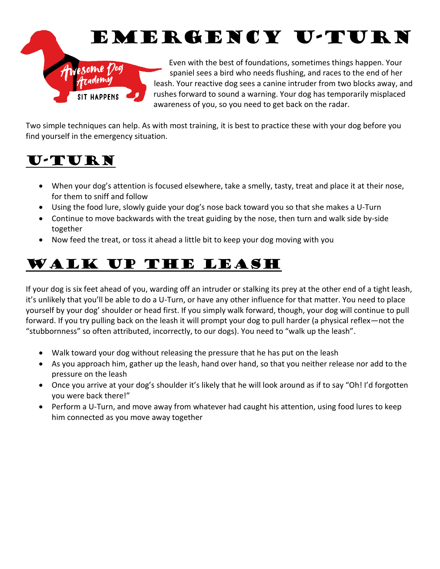# EMERGENCY U-TURN



Even with the best of foundations, sometimes things happen. Your spaniel sees a bird who needs flushing, and races to the end of her leash. Your reactive dog sees a canine intruder from two blocks away, and rushes forward to sound a warning. Your dog has temporarily misplaced awareness of you, so you need to get back on the radar.

Two simple techniques can help. As with most training, it is best to practice these with your dog before you find yourself in the emergency situation.

### U-TURN

- When your dog's attention is focused elsewhere, take a smelly, tasty, treat and place it at their nose, for them to sniff and follow
- Using the food lure, slowly guide your dog's nose back toward you so that she makes a U-Turn
- Continue to move backwards with the treat guiding by the nose, then turn and walk side by-side together
- Now feed the treat, or toss it ahead a little bit to keep your dog moving with you

## Walk Up The Leash

If your dog is six feet ahead of you, warding off an intruder or stalking its prey at the other end of a tight leash, it's unlikely that you'll be able to do a U-Turn, or have any other influence for that matter. You need to place yourself by your dog' shoulder or head first. If you simply walk forward, though, your dog will continue to pull forward. If you try pulling back on the leash it will prompt your dog to pull harder (a physical reflex—not the "stubbornness" so often attributed, incorrectly, to our dogs). You need to "walk up the leash".

- Walk toward your dog without releasing the pressure that he has put on the leash
- As you approach him, gather up the leash, hand over hand, so that you neither release nor add to the pressure on the leash
- Once you arrive at your dog's shoulder it's likely that he will look around as if to say "Oh! I'd forgotten you were back there!"
- Perform a U-Turn, and move away from whatever had caught his attention, using food lures to keep him connected as you move away together